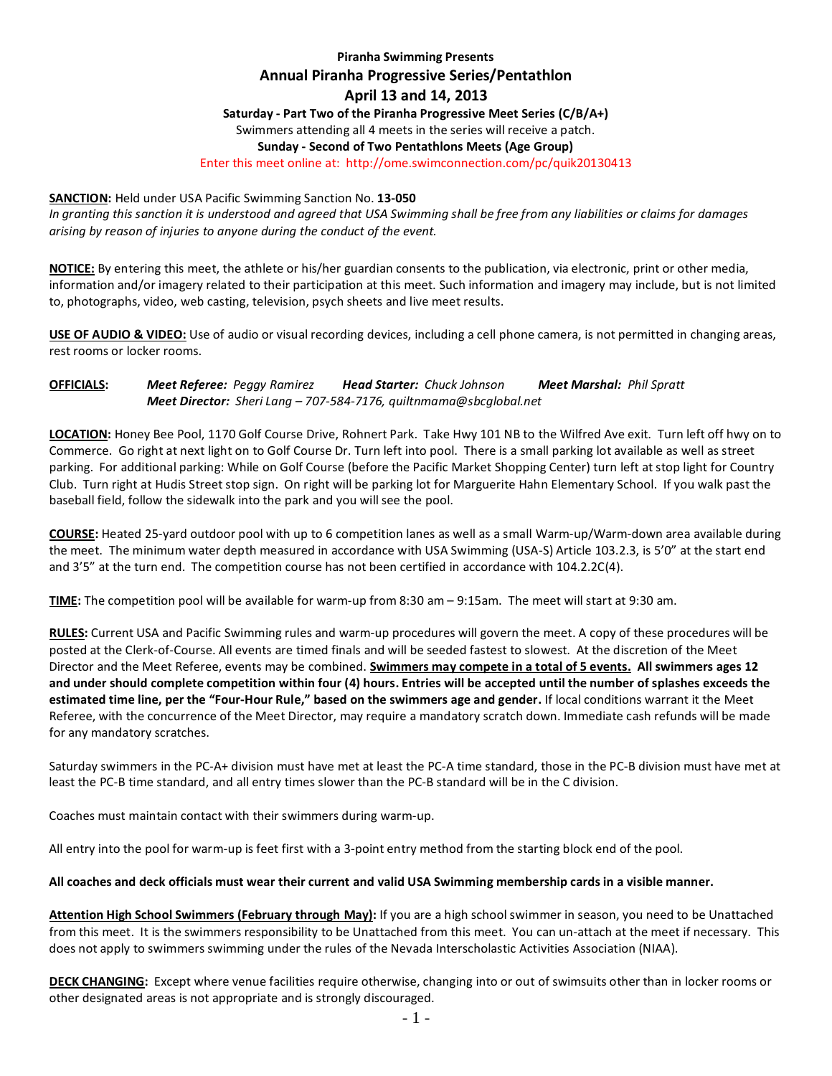# **Piranha Swimming Presents Annual Piranha Progressive Series/Pentathlon April 13 and 14, 2013**

**Saturday - Part Two of the Piranha Progressive Meet Series (C/B/A+)**

Swimmers attending all 4 meets in the series will receive a patch.

## **Sunday - Second of Two Pentathlons Meets (Age Group)**

Enter this meet online at: http://ome.swimconnection.com/pc/quik20130413

### **SANCTION:** Held under USA Pacific Swimming Sanction No. **13-050**

*In granting this sanction it is understood and agreed that USA Swimming shall be free from any liabilities or claims for damages arising by reason of injuries to anyone during the conduct of the event.*

**NOTICE:** By entering this meet, the athlete or his/her guardian consents to the publication, via electronic, print or other media, information and/or imagery related to their participation at this meet. Such information and imagery may include, but is not limited to, photographs, video, web casting, television, psych sheets and live meet results.

**USE OF AUDIO & VIDEO:** Use of audio or visual recording devices, including a cell phone camera, is not permitted in changing areas, rest rooms or locker rooms.

## **OFFICIALS:** *Meet Referee: Peggy Ramirez Head Starter: Chuck Johnson Meet Marshal: Phil Spratt Meet Director: Sheri Lang – 707-584-7176, quiltnmama@sbcglobal.net*

**LOCATION:** Honey Bee Pool, 1170 Golf Course Drive, Rohnert Park. Take Hwy 101 NB to the Wilfred Ave exit. Turn left off hwy on to Commerce. Go right at next light on to Golf Course Dr. Turn left into pool. There is a small parking lot available as well as street parking. For additional parking: While on Golf Course (before the Pacific Market Shopping Center) turn left at stop light for Country Club. Turn right at Hudis Street stop sign. On right will be parking lot for Marguerite Hahn Elementary School. If you walk past the baseball field, follow the sidewalk into the park and you will see the pool.

**COURSE:** Heated 25-yard outdoor pool with up to 6 competition lanes as well as a small Warm-up/Warm-down area available during the meet. The minimum water depth measured in accordance with USA Swimming (USA-S) Article 103.2.3, is 5'0" at the start end and 3'5" at the turn end. The competition course has not been certified in accordance with 104.2.2C(4).

**TIME:** The competition pool will be available for warm-up from 8:30 am – 9:15am. The meet will start at 9:30 am.

**RULES:** Current USA and Pacific Swimming rules and warm-up procedures will govern the meet. A copy of these procedures will be posted at the Clerk-of-Course. All events are timed finals and will be seeded fastest to slowest. At the discretion of the Meet Director and the Meet Referee, events may be combined. **Swimmers may compete in a total of 5 events. All swimmers ages 12 and under should complete competition within four (4) hours. Entries will be accepted until the number of splashes exceeds the estimated time line, per the "Four-Hour Rule," based on the swimmers age and gender.** If local conditions warrant it the Meet Referee, with the concurrence of the Meet Director, may require a mandatory scratch down. Immediate cash refunds will be made for any mandatory scratches.

Saturday swimmers in the PC-A+ division must have met at least the PC-A time standard, those in the PC-B division must have met at least the PC-B time standard, and all entry times slower than the PC-B standard will be in the C division.

Coaches must maintain contact with their swimmers during warm-up.

All entry into the pool for warm-up is feet first with a 3-point entry method from the starting block end of the pool.

## **All coaches and deck officials must wear their current and valid USA Swimming membership cards in a visible manner.**

**Attention High School Swimmers (February through May):** If you are a high school swimmer in season, you need to be Unattached from this meet. It is the swimmers responsibility to be Unattached from this meet. You can un-attach at the meet if necessary. This does not apply to swimmers swimming under the rules of the Nevada Interscholastic Activities Association (NIAA).

**DECK CHANGING:** Except where venue facilities require otherwise, changing into or out of swimsuits other than in locker rooms or other designated areas is not appropriate and is strongly discouraged.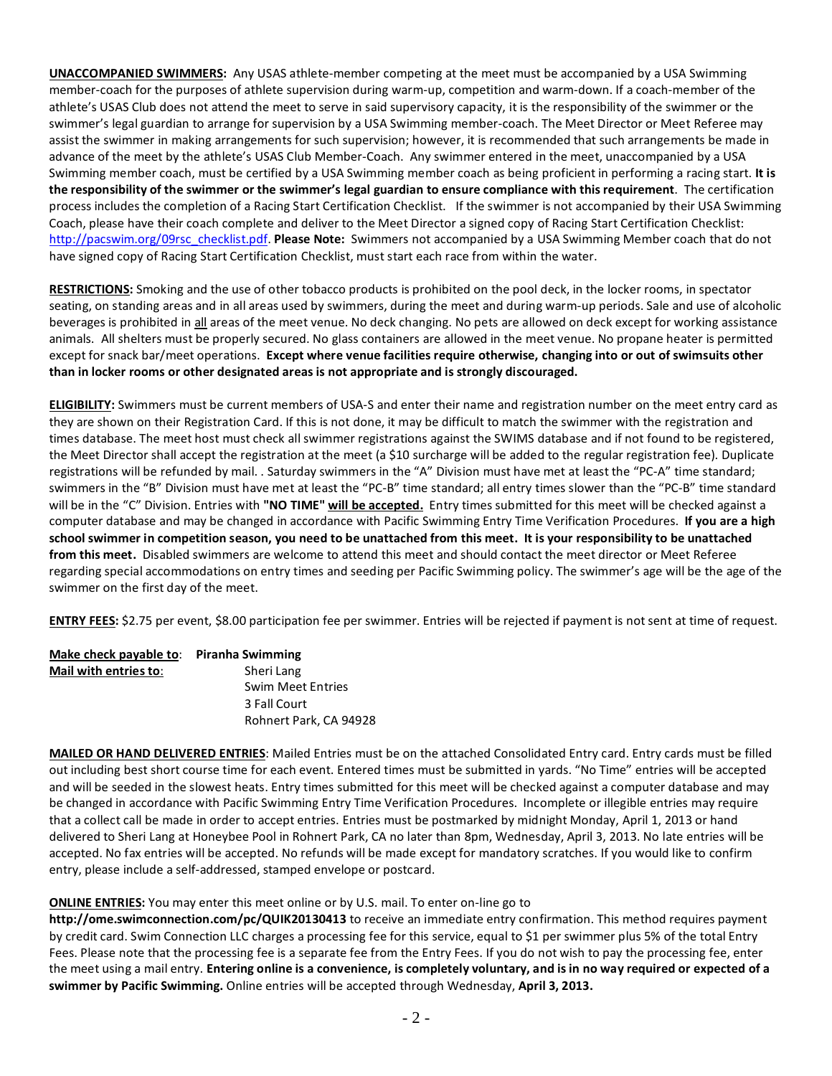**UNACCOMPANIED SWIMMERS:** Any USAS athlete-member competing at the meet must be accompanied by a USA Swimming member-coach for the purposes of athlete supervision during warm-up, competition and warm-down. If a coach-member of the athlete's USAS Club does not attend the meet to serve in said supervisory capacity, it is the responsibility of the swimmer or the swimmer's legal guardian to arrange for supervision by a USA Swimming member-coach. The Meet Director or Meet Referee may assist the swimmer in making arrangements for such supervision; however, it is recommended that such arrangements be made in advance of the meet by the athlete's USAS Club Member-Coach. Any swimmer entered in the meet, unaccompanied by a USA Swimming member coach, must be certified by a USA Swimming member coach as being proficient in performing a racing start. **It is the responsibility of the swimmer or the swimmer's legal guardian to ensure compliance with this requirement**. The certification process includes the completion of a Racing Start Certification Checklist. If the swimmer is not accompanied by their USA Swimming Coach, please have their coach complete and deliver to the Meet Director a signed copy of Racing Start Certification Checklist: [http://pacswim.org/09rsc\\_checklist.pdf.](http://pacswim.org/09rsc_checklist.pdf) **Please Note:** Swimmers not accompanied by a USA Swimming Member coach that do not have signed copy of Racing Start Certification Checklist, must start each race from within the water.

**RESTRICTIONS:** Smoking and the use of other tobacco products is prohibited on the pool deck, in the locker rooms, in spectator seating, on standing areas and in all areas used by swimmers, during the meet and during warm-up periods. Sale and use of alcoholic beverages is prohibited in all areas of the meet venue. No deck changing. No pets are allowed on deck except for working assistance animals. All shelters must be properly secured. No glass containers are allowed in the meet venue. No propane heater is permitted except for snack bar/meet operations. **Except where venue facilities require otherwise, changing into or out of swimsuits other than in locker rooms or other designated areas is not appropriate and is strongly discouraged.**

**ELIGIBILITY:** Swimmers must be current members of USA-S and enter their name and registration number on the meet entry card as they are shown on their Registration Card. If this is not done, it may be difficult to match the swimmer with the registration and times database. The meet host must check all swimmer registrations against the SWIMS database and if not found to be registered, the Meet Director shall accept the registration at the meet (a \$10 surcharge will be added to the regular registration fee). Duplicate registrations will be refunded by mail. . Saturday swimmers in the "A" Division must have met at least the "PC-A" time standard; swimmers in the "B" Division must have met at least the "PC-B" time standard; all entry times slower than the "PC-B" time standard will be in the "C" Division. Entries with **"NO TIME" will be accepted.** Entry times submitted for this meet will be checked against a computer database and may be changed in accordance with Pacific Swimming Entry Time Verification Procedures. **If you are a high school swimmer in competition season, you need to be unattached from this meet. It is your responsibility to be unattached from this meet.** Disabled swimmers are welcome to attend this meet and should contact the meet director or Meet Referee regarding special accommodations on entry times and seeding per Pacific Swimming policy. The swimmer's age will be the age of the swimmer on the first day of the meet.

**ENTRY FEES:** \$2.75 per event, \$8.00 participation fee per swimmer. Entries will be rejected if payment is not sent at time of request.

| Make check payable to: | Piranha Swimming         |
|------------------------|--------------------------|
| Mail with entries to:  | Sheri Lang               |
|                        | <b>Swim Meet Entries</b> |
|                        | 3 Fall Court             |
|                        | Rohnert Park, CA 94928   |

**MAILED OR HAND DELIVERED ENTRIES**: Mailed Entries must be on the attached Consolidated Entry card. Entry cards must be filled out including best short course time for each event. Entered times must be submitted in yards. "No Time" entries will be accepted and will be seeded in the slowest heats. Entry times submitted for this meet will be checked against a computer database and may be changed in accordance with Pacific Swimming Entry Time Verification Procedures. Incomplete or illegible entries may require that a collect call be made in order to accept entries. Entries must be postmarked by midnight Monday, April 1, 2013 or hand delivered to Sheri Lang at Honeybee Pool in Rohnert Park, CA no later than 8pm, Wednesday, April 3, 2013. No late entries will be accepted. No fax entries will be accepted. No refunds will be made except for mandatory scratches. If you would like to confirm entry, please include a self-addressed, stamped envelope or postcard.

## **ONLINE ENTRIES:** You may enter this meet online or by U.S. mail. To enter on-line go to

**http://ome.swimconnection.com/pc/QUIK20130413** to receive an immediate entry confirmation. This method requires payment by credit card. Swim Connection LLC charges a processing fee for this service, equal to \$1 per swimmer plus 5% of the total Entry Fees. Please note that the processing fee is a separate fee from the Entry Fees. If you do not wish to pay the processing fee, enter the meet using a mail entry. **Entering online is a convenience, is completely voluntary, and is in no way required or expected of a swimmer by Pacific Swimming.** Online entries will be accepted through Wednesday, **April 3, 2013.**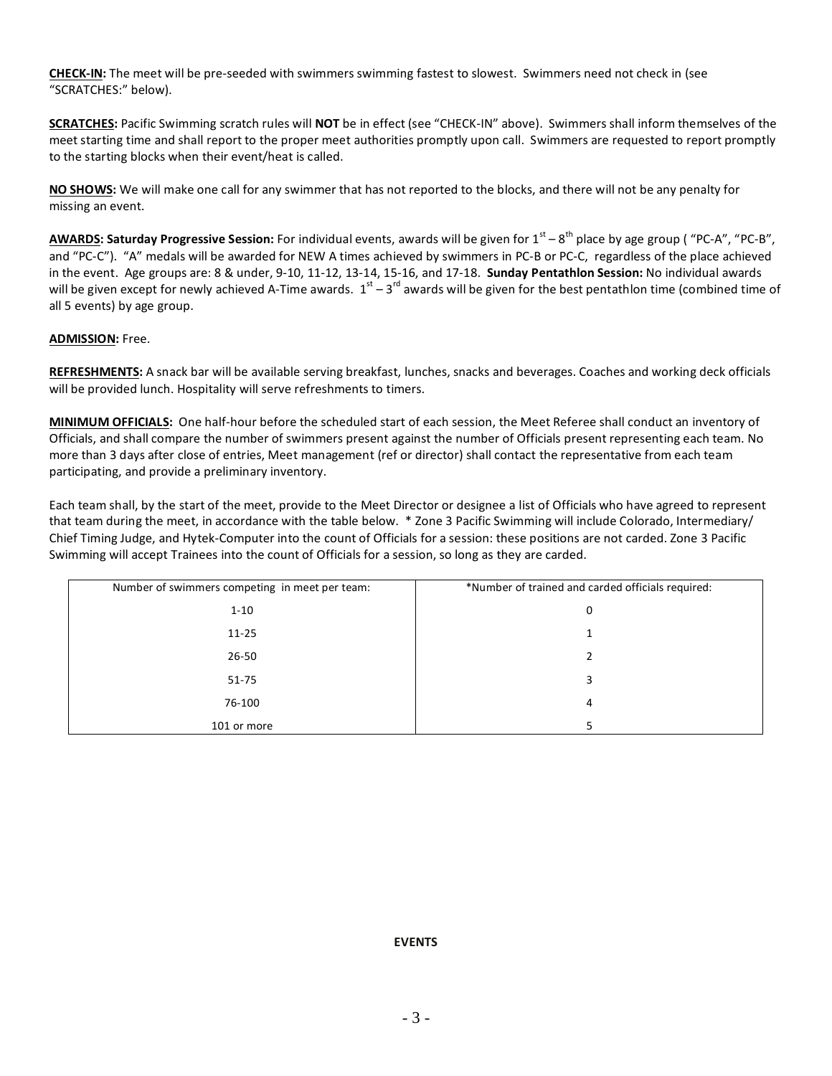**CHECK-IN:** The meet will be pre-seeded with swimmers swimming fastest to slowest. Swimmers need not check in (see "SCRATCHES:" below).

**SCRATCHES:** Pacific Swimming scratch rules will **NOT** be in effect (see "CHECK-IN" above). Swimmers shall inform themselves of the meet starting time and shall report to the proper meet authorities promptly upon call. Swimmers are requested to report promptly to the starting blocks when their event/heat is called.

**NO SHOWS:** We will make one call for any swimmer that has not reported to the blocks, and there will not be any penalty for missing an event.

AWARDS: Saturday Progressive Session: For individual events, awards will be given for 1<sup>st</sup> – 8<sup>th</sup> place by age group ("PC-A", "PC-B", and "PC-C"). "A" medals will be awarded for NEW A times achieved by swimmers in PC-B or PC-C, regardless of the place achieved in the event. Age groups are: 8 & under, 9-10, 11-12, 13-14, 15-16, and 17-18. **Sunday Pentathlon Session:** No individual awards will be given except for newly achieved A-Time awards.  $1^{st} - 3^{rd}$  awards will be given for the best pentathlon time (combined time of all 5 events) by age group.

## **ADMISSION:** Free.

**REFRESHMENTS:** A snack bar will be available serving breakfast, lunches, snacks and beverages. Coaches and working deck officials will be provided lunch. Hospitality will serve refreshments to timers.

**MINIMUM OFFICIALS:** One half-hour before the scheduled start of each session, the Meet Referee shall conduct an inventory of Officials, and shall compare the number of swimmers present against the number of Officials present representing each team. No more than 3 days after close of entries, Meet management (ref or director) shall contact the representative from each team participating, and provide a preliminary inventory.

Each team shall, by the start of the meet, provide to the Meet Director or designee a list of Officials who have agreed to represent that team during the meet, in accordance with the table below. \* Zone 3 Pacific Swimming will include Colorado, Intermediary/ Chief Timing Judge, and Hytek-Computer into the count of Officials for a session: these positions are not carded. Zone 3 Pacific Swimming will accept Trainees into the count of Officials for a session, so long as they are carded.

| Number of swimmers competing in meet per team: | *Number of trained and carded officials required: |
|------------------------------------------------|---------------------------------------------------|
| $1 - 10$                                       | 0                                                 |
| $11 - 25$                                      |                                                   |
| $26 - 50$                                      |                                                   |
| $51 - 75$                                      |                                                   |
| 76-100                                         | 4                                                 |
| 101 or more                                    |                                                   |

## **EVENTS**